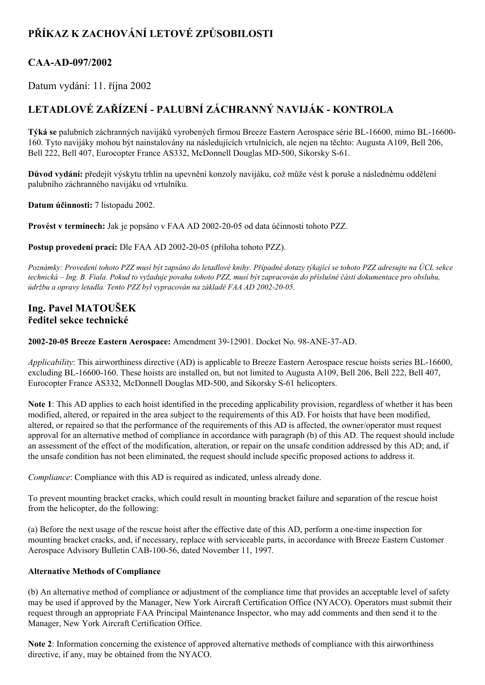# **PŘÍKAZ K ZACHOVÁNÍ LETOVÉ ZPŮSOBILOSTI**

### **CAAAD097/2002**

Datum vydání: 11. října 2002

## **LETADLOVÉ ZAŘÍZENÍ PALUBNÍ ZÁCHRANNÝ NAVIJÁK KONTROLA**

**Týká se** palubních záchranných navijáků vyrobených firmou Breeze Eastern Aerospace série BL-16600, mimo BL-16600-160. Tyto navijáky mohou být nainstalovány na následujících vrtulnících, ale nejen na těchto: Augusta A109, Bell 206, Bell 222, Bell 407, Eurocopter France AS332, McDonnell Douglas MD-500, Sikorsky S-61.

**Důvod vydání:** předejít výskytu trhlin na upevnění konzoly navijáku, což může vést k poruše a následnému oddělení palubního záchranného navijáku od vrtulníku.

**Datum účinnosti:** 7 listopadu 2002.

**Provést v termínech:** Jak je popsáno v FAA AD 20022005 od data účinnosti tohoto PZZ.

**Postup provedení prací:** Dle FAA AD 2002-20-05 (příloha tohoto PZZ).

Poznámky: Provedení tohoto PZZ musí být zapsáno do letadlové knihy. Případné dotazy týkající se tohoto PZZ adresujte na ÚCL sekce technická – Ing. B. Fiala. Pokud to vyžaduje povaha tohoto PZZ, musí být zapracován do příslušné části dokumentace pro obsluhu, *údržbu a opravy letadla. Tento PZZ byl vypracován na základě FAA AD 20022005.*

### **Ing. Pavel MATOUŠEK ředitel sekce technické**

**20022005 Breeze Eastern Aerospace:** Amendment 3912901. Docket No. 98ANE37AD.

*Applicability*: This airworthiness directive (AD) is applicable to Breeze Eastern Aerospace rescue hoists series BL-16600, excluding BL-16600-160. These hoists are installed on, but not limited to Augusta A109, Bell 206, Bell 222, Bell 407, Eurocopter France AS332, McDonnell Douglas MD-500, and Sikorsky S-61 helicopters.

**Note 1**: This AD applies to each hoist identified in the preceding applicability provision, regardless of whether it has been modified, altered, or repaired in the area subject to the requirements of this AD. For hoists that have been modified, altered, or repaired so that the performance of the requirements of this AD is affected, the owner/operator must request approval for an alternative method of compliance in accordance with paragraph (b) of this AD. The request should include an assessment of the effect of the modification, alteration, or repair on the unsafe condition addressed by this AD; and, if the unsafe condition has not been eliminated, the request should include specific proposed actions to address it.

*Compliance*: Compliance with this AD is required as indicated, unless already done.

To prevent mounting bracket cracks, which could result in mounting bracket failure and separation of the rescue hoist from the helicopter, do the following:

(a) Before the next usage of the rescue hoist after the effective date of this AD, perform a onetime inspection for mounting bracket cracks, and, if necessary, replace with serviceable parts, in accordance with Breeze Eastern Customer Aerospace Advisory Bulletin CAB-100-56, dated November 11, 1997.

#### **Alternative Methods of Compliance**

(b) An alternative method of compliance or adjustment of the compliance time that provides an acceptable level of safety may be used if approved by the Manager, New York Aircraft Certification Office (NYACO). Operators must submit their request through an appropriate FAA Principal Maintenance Inspector, who may add comments and then send it to the Manager, New York Aircraft Certification Office.

**Note 2**: Information concerning the existence of approved alternative methods of compliance with this airworthiness directive, if any, may be obtained from the NYACO.